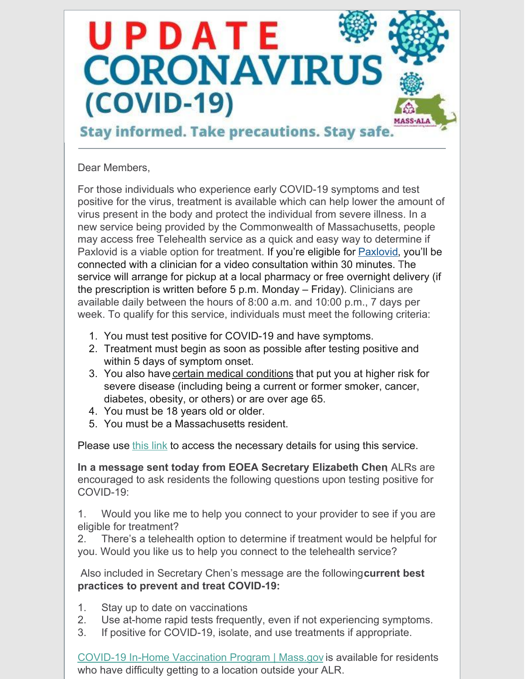# UPDATE **CORONAVIRUS** (COVID-19) MASS-ALA

# **Stay informed. Take precautions. Stay safe.**

#### Dear Members,

For those individuals who experience early COVID-19 symptoms and test positive for the virus, treatment is available which can help lower the amount of virus present in the body and protect the individual from severe illness. In a new service being provided by the Commonwealth of Massachusetts, people may access free Telehealth service as a quick and easy way to determine if [Paxlovid](https://www.covid19oralrx-patient.com/) is a viable option for treatment. If you're eligible for **Paxlovid**, you'll be connected with a clinician for a video consultation within 30 minutes. The service will arrange for pickup at a local pharmacy or free overnight delivery (if the prescription is written before 5 p.m. Monday – Friday). Clinicians are available daily between the hours of 8:00 a.m. and 10:00 p.m., 7 days per week. To qualify for this service, individuals must meet the following criteria:

- 1. You must test positive for COVID-19 and have symptoms.
- 2. Treatment must begin as soon as possible after testing positive and within 5 days of symptom onset.
- 3. You also have certain medical [conditions](https://www.cdc.gov/coronavirus/2019-ncov/need-extra-precautions/people-with-medical-conditions.html) that put you at higher risk for severe disease (including being a current or former smoker, cancer, diabetes, obesity, or others) or are over age 65.
- 4. You must be 18 years old or older.
- 5. You must be a Massachusetts resident.

Please use [this](https://www.mass.gov/info-details/free-telehealth-for-covid-19-treatment-with-paxlovid) link to access the necessary details for using this service.

**In a message sent today from EOEA Secretary Elizabeth Chen**, ALRs are encouraged to ask residents the following questions upon testing positive for COVID-19:

1. Would you like me to help you connect to your provider to see if you are eligible for treatment?

2. There's a telehealth option to determine if treatment would be helpful for you. Would you like us to help you connect to the telehealth service?

Also included in Secretary Chen's message are the following**current best practices to prevent and treat COVID-19:**

- 1. Stay up to date on vaccinations
- 2. Use at-home rapid tests frequently, even if not experiencing symptoms.
- 3. If positive for COVID-19, isolate, and use treatments if appropriate.

COVID-19 In-Home [Vaccination](https://www.mass.gov/info-details/covid-19-in-home-vaccination-program) Program | Mass.gov is available for residents who have difficulty getting to a location outside your ALR.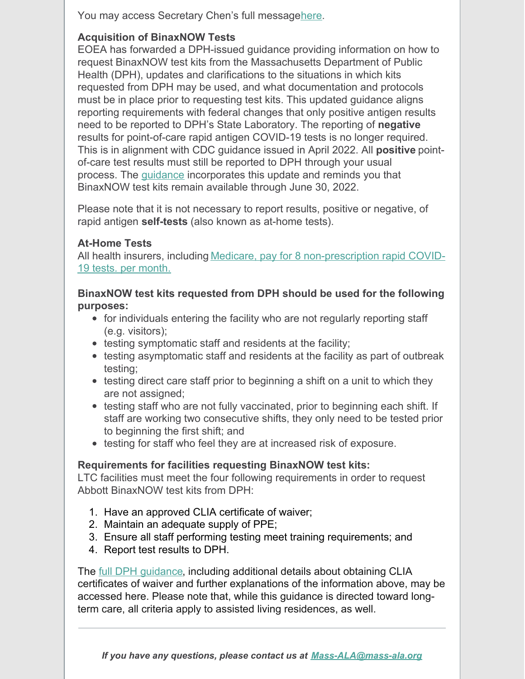You may access Secretary Chen's full messag[ehere](https://mass-ala.org/wp-content/uploads/2022/05/COVID-Treatment-Message-to-ALRs-May-16th-2022.pdf).

## **Acquisition of BinaxNOW Tests**

EOEA has forwarded a DPH-issued guidance providing information on how to request BinaxNOW test kits from the Massachusetts Department of Public Health (DPH), updates and clarifications to the situations in which kits requested from DPH may be used, and what documentation and protocols must be in place prior to requesting test kits. This updated guidance aligns reporting requirements with federal changes that only positive antigen results need to be reported to DPH's State Laboratory. The reporting of **negative** results for point-of-care rapid antigen COVID-19 tests is no longer required. This is in alignment with CDC guidance issued in April 2022. All **positive** pointof-care test results must still be reported to DPH through your usual process. The [guidance](https://mass-ala.org/wp-content/uploads/2022/05/binaxNOW-rapid-point-of-care-covid-testing-for-ltcf-5.12.2022.pdf) incorporates this update and reminds you that BinaxNOW test kits remain available through June 30, 2022.

Please note that it is not necessary to report results, positive or negative, of rapid antigen **self-tests** (also known as at-home tests).

#### **At-Home Tests**

All health insurers, including Medicare, pay for 8 [non-prescription](https://www.medicare.gov/coverage/coronavirus-disease-2019-covid-19-diagnostic-tests) rapid COVID-19 tests. per month.

#### **BinaxNOW test kits requested from DPH should be used for the following purposes:**

- for individuals entering the facility who are not regularly reporting staff (e.g. visitors);
- testing symptomatic staff and residents at the facility;
- testing asymptomatic staff and residents at the facility as part of outbreak testing;
- testing direct care staff prior to beginning a shift on a unit to which they are not assigned;
- testing staff who are not fully vaccinated, prior to beginning each shift. If staff are working two consecutive shifts, they only need to be tested prior to beginning the first shift; and
- testing for staff who feel they are at increased risk of exposure.

## **Requirements for facilities requesting BinaxNOW test kits:**

LTC facilities must meet the four following requirements in order to request Abbott BinaxNOW test kits from DPH:

- 1. Have an approved CLIA certificate of waiver;
- 2. Maintain an adequate supply of PPE;
- 3. Ensure all staff performing testing meet training requirements; and
- 4. Report test results to DPH.

The full DPH [guidance](https://mass-ala.org/wp-content/uploads/2022/05/binaxNOW-rapid-point-of-care-covid-testing-for-ltcf-5.12.2022.pdf), including additional details about obtaining CLIA certificates of waiver and further explanations of the information above, may be accessed here. Please note that, while this guidance is directed toward longterm care, all criteria apply to assisted living residences, as well.

*If you have any questions, please contact us at [Mass-ALA@mass-ala.org](mailto:Mass-ALA@mass-ala.org)*